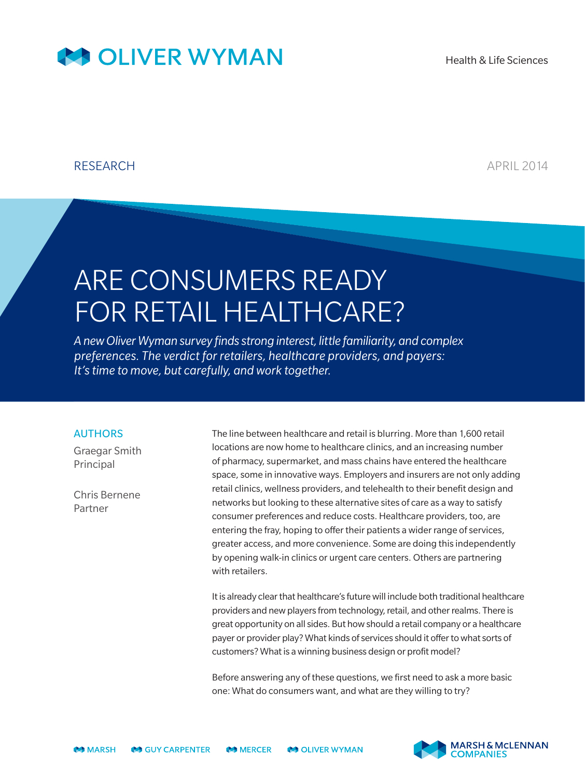## **AS OLIVER WYMAN**

## RESEARCH **APRIL 2014**

# ARE CONSUMERS READY FOR RETAIL HEALTHCARE?

*A new Oliver Wyman survey finds strong interest, little familiarity, and complex preferences. The verdict for retailers, healthcare providers, and payers: It's time to move, but carefully, and work together.*

## AUTHORS

Graegar Smith Principal

Chris Bernene Partner

The line between healthcare and retail is blurring. More than 1,600 retail locations are now home to healthcare clinics, and an increasing number of pharmacy, supermarket, and mass chains have entered the healthcare space, some in innovative ways. Employers and insurers are not only adding retail clinics, wellness providers, and telehealth to their benefit design and networks but looking to these alternative sites of care as a way to satisfy consumer preferences and reduce costs. Healthcare providers, too, are entering the fray, hoping to offer their patients a wider range of services, greater access, and more convenience. Some are doing this independently by opening walk-in clinics or urgent care centers. Others are partnering with retailers.

It is already clear that healthcare's future will include both traditional healthcare providers and new players from technology, retail, and other realms. There is great opportunity on all sides. But how should a retail company or a healthcare payer or provider play? What kinds of services should it offer to what sorts of customers? What is a winning business design or profit model?

Before answering any of these questions, we first need to ask a more basic one: What do consumers want, and what are they willing to try?

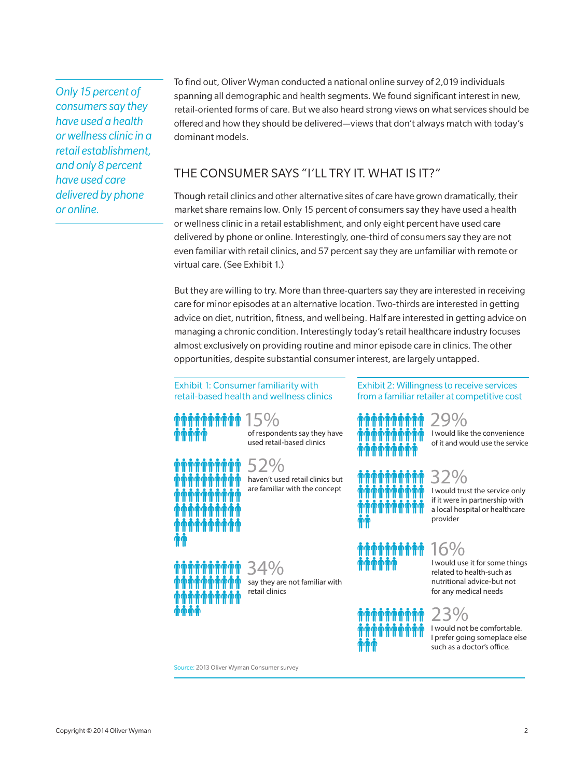*Only 15 percent of consumers say they have used a health or wellness clinic in a retail establishment, and only 8 percent have used care delivered by phone or online.*

To find out, Oliver Wyman conducted a national online survey of 2,019 individuals spanning all demographic and health segments. We found significant interest in new, retail-oriented forms of care. But we also heard strong views on what services should be offered and how they should be delivered—views that don't always match with today's dominant models.

## THE CONSUMER SAYS "I'LL TRY IT. WHAT IS IT?"

Though retail clinics and other alternative sites of care have grown dramatically, their market share remains low. Only 15 percent of consumers say they have used a health or wellness clinic in a retail establishment, and only eight percent have used care delivered by phone or online. Interestingly, one-third of consumers say they are not even familiar with retail clinics, and 57 percent say they are unfamiliar with remote or virtual care. (See Exhibit 1.)

But they are willing to try. More than three-quarters say they are interested in receiving care for minor episodes at an alternative location. Two-thirds are interested in getting advice on diet, nutrition, fitness, and wellbeing. Half are interested in getting advice on managing a chronic condition. Interestingly today's retail healthcare industry focuses almost exclusively on providing routine and minor episode care in clinics. The other opportunities, despite substantial consumer interest, are largely untapped.

#### Exhibit 1: Consumer familiarity with retail-based health and wellness clinics



used retail-based clinics 52% haven't used retail clinics but

34%

retail clinics

are familiar with the concept

say they are not familiar with

Exhibit 2: Willingness to receive services from a familiar retailer at competitive cost

| rrini  |                 |
|--------|-----------------|
| rrrrrr | l would like th |
|        | of it and would |

ie convenience d use the service



I would trust the service only if it were in partnership with a local hospital or healthcare provider



I would use it for some things related to health-such as nutritional advice-but not for any medical needs

## 23%

I would not be comfortable. I prefer going someplace else such as a doctor's office.

Source: 2013 Oliver Wyman Consumer survey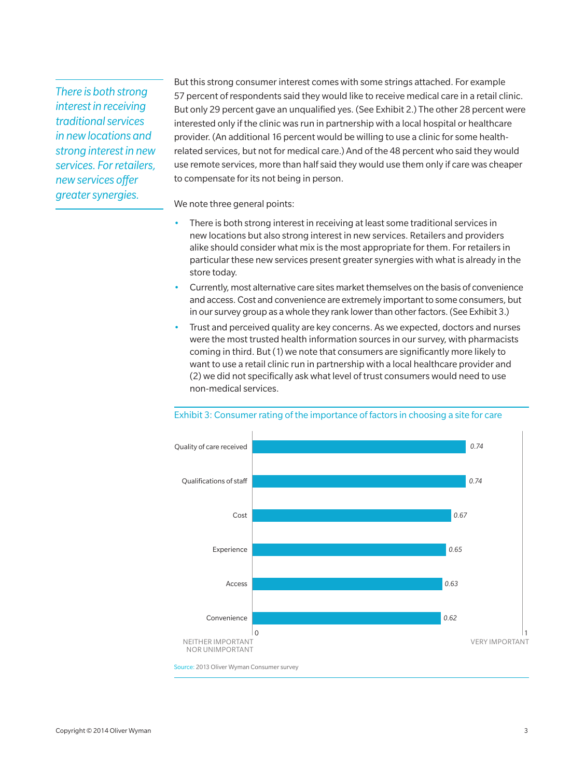*There is both strong interest in receiving traditional services in new locations and strong interest in new services. For retailers, new services offer greatersynergies.*

But this strong consumer interest comes with some strings attached. For example 57 percent of respondents said they would like to receive medical care in a retail clinic. But only 29 percent gave an unqualified yes. (See Exhibit 2.) The other 28 percent were interested only if the clinic was run in partnership with a local hospital or healthcare provider. (An additional 16 percent would be willing to use a clinic for some healthrelated services, but not for medical care.) And of the 48 percent who said they would use remote services, more than half said they would use them only if care was cheaper to compensate for its not being in person.

We note three general points:

- There is both strong interest in receiving at least some traditional services in new locations but also strong interest in new services. Retailers and providers alike should consider what mix is the most appropriate for them. For retailers in particular these new services present greater synergies with what is already in the store today.
- Currently, most alternative care sites market themselves on the basis of convenience and access. Cost and convenience are extremely important to some consumers, but in our survey group as a whole they rank lower than other factors. (See Exhibit 3.)
- Trust and perceived quality are key concerns. As we expected, doctors and nurses were the most trusted health information sources in our survey, with pharmacists coming in third. But (1) we note that consumers are significantly more likely to want to use a retail clinic run in partnership with a local healthcare provider and (2) we did not specifically ask what level of trust consumers would need to use non-medical services.



#### Exhibit 3: Consumer rating of the importance of factors in choosing a site for care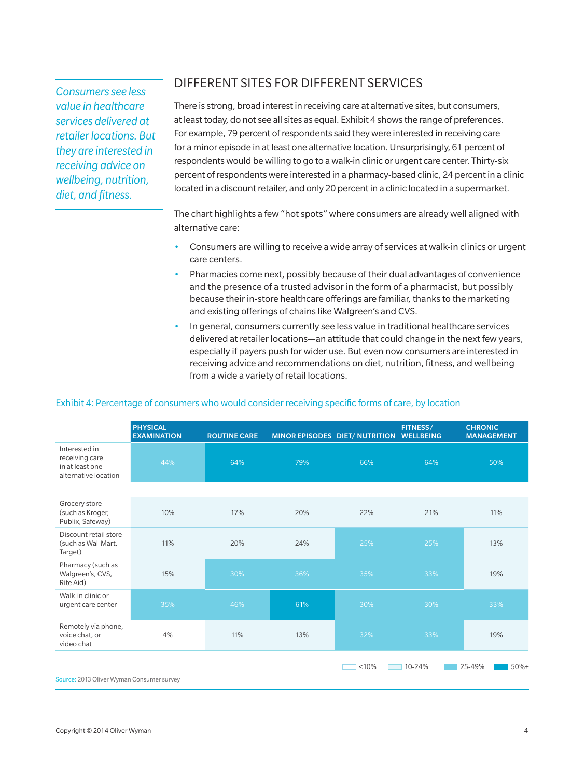*Consumers see less value in healthcare services delivered at retailer locations. But they are interested in receiving advice on wellbeing, nutrition, diet, and fitness.*

## DIFFERENT SITES FOR DIFFERENT SERVICES

There is strong, broad interest in receiving care at alternative sites, but consumers, at least today, do not see all sites as equal. Exhibit 4 shows the range of preferences. For example, 79 percent of respondents said they were interested in receiving care for a minor episode in at least one alternative location. Unsurprisingly, 61 percent of respondents would be willing to go to a walk-in clinic or urgent care center. Thirty-six percent of respondents were interested in a pharmacy-based clinic, 24 percent in a clinic located in a discount retailer, and only 20 percent in a clinic located in a supermarket.

The chart highlights a few "hot spots" where consumers are already well aligned with alternative care:

- Consumers are willing to receive a wide array of services at walk-in clinics or urgent care centers.
- Pharmacies come next, possibly because of their dual advantages of convenience and the presence of a trusted advisor in the form of a pharmacist, but possibly because their in-store healthcare offerings are familiar, thanks to the marketing and existing offerings of chains like Walgreen's and CVS.
- In general, consumers currently see less value in traditional healthcare services delivered at retailer locations—an attitude that could change in the next few years, especially if payers push for wider use. But even now consumers are interested in receiving advice and recommendations on diet, nutrition, fitness, and wellbeing from a wide a variety of retail locations.

### Exhibit 4: Percentage of consumers who would consider receiving specific forms of care, by location

|                                                                            | <b>PHYSICAL</b><br><b>EXAMINATION</b> | <b>ROUTINE CARE</b> |     | MINOR EPISODES DIET/ NUTRITION | FITNESS/<br><b>WELLBEING</b> | <b>CHRONIC</b><br><b>MANAGEMENT</b> |
|----------------------------------------------------------------------------|---------------------------------------|---------------------|-----|--------------------------------|------------------------------|-------------------------------------|
| Interested in<br>receiving care<br>in at least one<br>alternative location | 44%                                   | 64%                 | 79% | 66%                            | 64%                          | 50%                                 |
|                                                                            |                                       |                     |     |                                |                              |                                     |
| Grocery store<br>(such as Kroger,<br>Publix, Safeway)                      | 10%                                   | 17%                 | 20% | 22%                            | 21%                          | 11%                                 |
| Discount retail store<br>(such as Wal-Mart,<br>Target)                     | 11%                                   | 20%                 | 24% | 25%                            | 25%                          | 13%                                 |
| Pharmacy (such as<br>Walgreen's, CVS,<br>Rite Aid)                         | 15%                                   | 30%                 | 36% | 35%                            | 33%                          | 19%                                 |
| Walk-in clinic or<br>urgent care center                                    | 35%                                   | 46%                 | 61% | 30%                            | 30%                          | 33%                                 |
| Remotely via phone,<br>voice chat, or<br>video chat                        | 4%                                    | 11%                 | 13% | 32%                            | 33%                          | 19%                                 |
|                                                                            |                                       |                     |     | < 10%                          | 10-24%                       | 25-49%<br>$50%+$                    |

Source: 2013 Oliver Wyman Consumer survey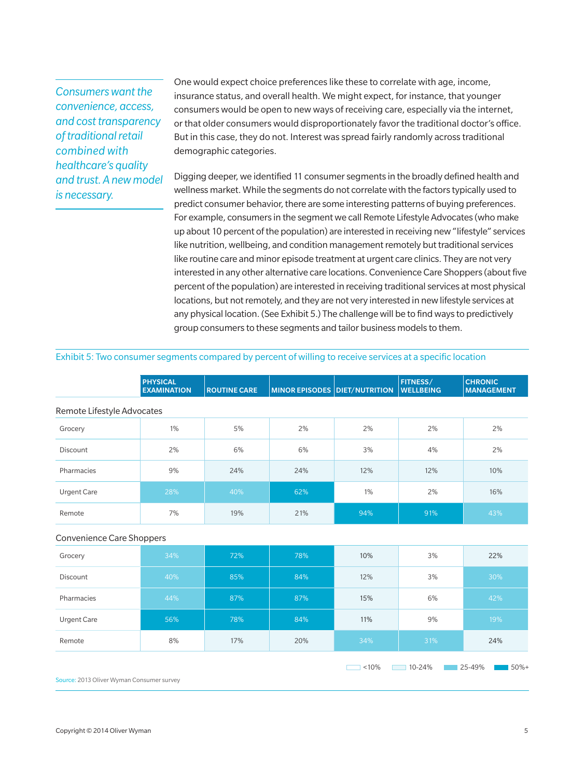## *Consumers want the convenience, access, and cost transparency of traditional retail combined with healthcare's quality and trust. A new model is necessary.*

One would expect choice preferences like these to correlate with age, income, insurance status, and overall health. We might expect, for instance, that younger consumers would be open to new ways of receiving care, especially via the internet, or that older consumers would disproportionately favor the traditional doctor's office. But in this case, they do not. Interest was spread fairly randomly across traditional demographic categories.

Digging deeper, we identified 11 consumer segments in the broadly defined health and wellness market. While the segments do not correlate with the factors typically used to predict consumer behavior, there are some interesting patterns of buying preferences. For example, consumers in the segment we call Remote Lifestyle Advocates (who make up about 10 percent of the population) are interested in receiving new "lifestyle" services like nutrition, wellbeing, and condition management remotely but traditional services like routine care and minor episode treatment at urgent care clinics. They are not very interested in any other alternative care locations. Convenience Care Shoppers (about five percent of the population) are interested in receiving traditional services at most physical locations, but not remotely, and they are not very interested in new lifestyle services at any physical location. (See Exhibit 5.) The challenge will be to find ways to predictively group consumers to these segments and tailor business models to them.

#### Exhibit 5: Two consumer segments compared by percent of willing to receive services at a specific location

|                                           | <b>PHYSICAL</b><br><b>EXAMINATION</b> | <b>ROUTINE CARE</b> | <b>MINOR EPISODES DIET/NUTRITION</b> |       | FITNESS/<br><b>WELLBEING</b> | <b>CHRONIC</b><br><b>MANAGEMENT</b> |  |  |  |
|-------------------------------------------|---------------------------------------|---------------------|--------------------------------------|-------|------------------------------|-------------------------------------|--|--|--|
| Remote Lifestyle Advocates                |                                       |                     |                                      |       |                              |                                     |  |  |  |
| Grocery                                   | 1%                                    | 5%                  | 2%                                   | 2%    | 2%                           | 2%                                  |  |  |  |
| Discount                                  | 2%                                    | 6%                  | 6%                                   | 3%    | 4%                           | 2%                                  |  |  |  |
| Pharmacies                                | 9%                                    | 24%                 | 24%                                  | 12%   | 12%                          | 10%                                 |  |  |  |
| <b>Urgent Care</b>                        | 28%                                   | 40%                 | 62%                                  | 1%    | 2%                           | 16%                                 |  |  |  |
| Remote                                    | 7%                                    | 19%                 | 21%                                  | 94%   | 91%                          | 43%                                 |  |  |  |
| Convenience Care Shoppers                 |                                       |                     |                                      |       |                              |                                     |  |  |  |
| Grocery                                   | 34%                                   | 72%                 | 78%                                  | 10%   | 3%                           | 22%                                 |  |  |  |
| Discount                                  | 40%                                   | 85%                 | 84%                                  | 12%   | 3%                           | 30%                                 |  |  |  |
| Pharmacies                                | 44%                                   | 87%                 | 87%                                  | 15%   | 6%                           | 42%                                 |  |  |  |
| <b>Urgent Care</b>                        | 56%                                   | 78%                 | 84%                                  | 11%   | 9%                           | 19%                                 |  |  |  |
| Remote                                    | 8%                                    | 17%                 | 20%                                  | 34%   | 31%                          | 24%                                 |  |  |  |
| Source: 2013 Oliver Wyman Consumer survey |                                       |                     |                                      | < 10% | 10-24%                       | 25-49%<br>$50%+$                    |  |  |  |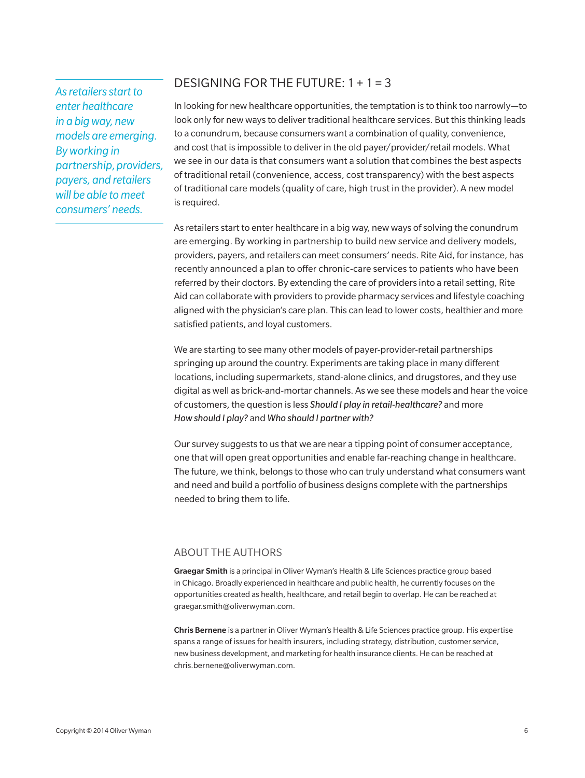*As retailers start to enter healthcare in a big way, new models are emerging. By working in partnership, providers, payers, and retailers will be able to meet consumers' needs.*

## DESIGNING FOR THE FUTURE: 1 + 1 = 3

In looking for new healthcare opportunities, the temptation is to think too narrowly—to look only for new ways to deliver traditional healthcare services. But this thinking leads to a conundrum, because consumers want a combination of quality, convenience, and cost that is impossible to deliver in the old payer/provider/retail models. What we see in our data is that consumers want a solution that combines the best aspects of traditional retail (convenience, access, cost transparency) with the best aspects of traditional care models (quality of care, high trust in the provider). A new model is required.

As retailers start to enter healthcare in a big way, new ways of solving the conundrum are emerging. By working in partnership to build new service and delivery models, providers, payers, and retailers can meet consumers' needs. Rite Aid, for instance, has recently announced a plan to offer chronic-care services to patients who have been referred by their doctors. By extending the care of providers into a retail setting, Rite Aid can collaborate with providers to provide pharmacy services and lifestyle coaching aligned with the physician's care plan. This can lead to lower costs, healthier and more satisfied patients, and loyal customers.

We are starting to see many other models of payer-provider-retail partnerships springing up around the country. Experiments are taking place in many different locations, including supermarkets, stand-alone clinics, and drugstores, and they use digital as well as brick-and-mortar channels. As we see these models and hear the voice of customers, the question is less *Should I play in retail-healthcare?* and more *How should I play?* and *Who should I partner with?*

Our survey suggests to us that we are near a tipping point of consumer acceptance, one that will open great opportunities and enable far-reaching change in healthcare. The future, we think, belongs to those who can truly understand what consumers want and need and build a portfolio of business designs complete with the partnerships needed to bring them to life.

### ABOUT THE AUTHORS

Graegar Smith is a principal in Oliver Wyman's Health & Life Sciences practice group based in Chicago. Broadly experienced in healthcare and public health, he currently focuses on the opportunities created as health, healthcare, and retail begin to overlap. He can be reached at graegar.smith@oliverwyman.com.

Chris Bernene is a partner in Oliver Wyman's Health & Life Sciences practice group. His expertise spans a range of issues for health insurers, including strategy, distribution, customer service, new business development, and marketing for health insurance clients. He can be reached at chris.bernene@oliverwyman.com.